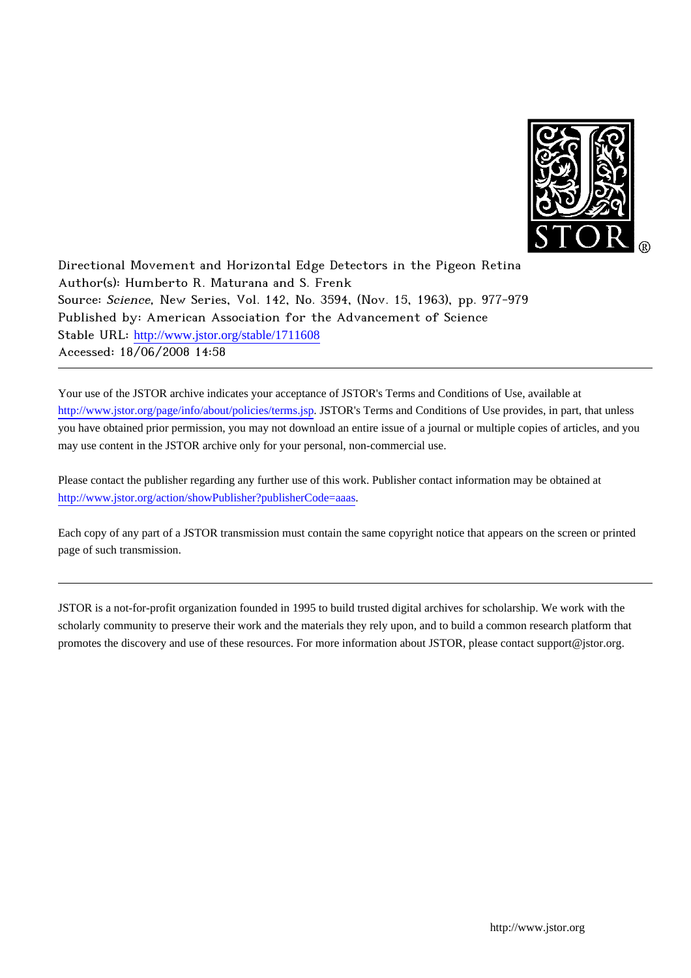

Directional Movement and Horizontal Edge Detectors in the Pigeon Retina Author(s): Humberto R. Maturana and S. Frenk Source: Science, New Series, Vol. 142, No. 3594, (Nov. 15, 1963), pp. 977-979 Published by: American Association for the Advancement of Science Stable URL: [http://www.jstor.org/stable/1711608](http://www.jstor.org/stable/1711608?origin=JSTOR-pdf) Accessed: 18/06/2008 14:58

Your use of the JSTOR archive indicates your acceptance of JSTOR's Terms and Conditions of Use, available at <http://www.jstor.org/page/info/about/policies/terms.jsp>. JSTOR's Terms and Conditions of Use provides, in part, that unless you have obtained prior permission, you may not download an entire issue of a journal or multiple copies of articles, and you may use content in the JSTOR archive only for your personal, non-commercial use.

Please contact the publisher regarding any further use of this work. Publisher contact information may be obtained at <http://www.jstor.org/action/showPublisher?publisherCode=aaas>.

Each copy of any part of a JSTOR transmission must contain the same copyright notice that appears on the screen or printed page of such transmission.

JSTOR is a not-for-profit organization founded in 1995 to build trusted digital archives for scholarship. We work with the scholarly community to preserve their work and the materials they rely upon, and to build a common research platform that promotes the discovery and use of these resources. For more information about JSTOR, please contact support@jstor.org.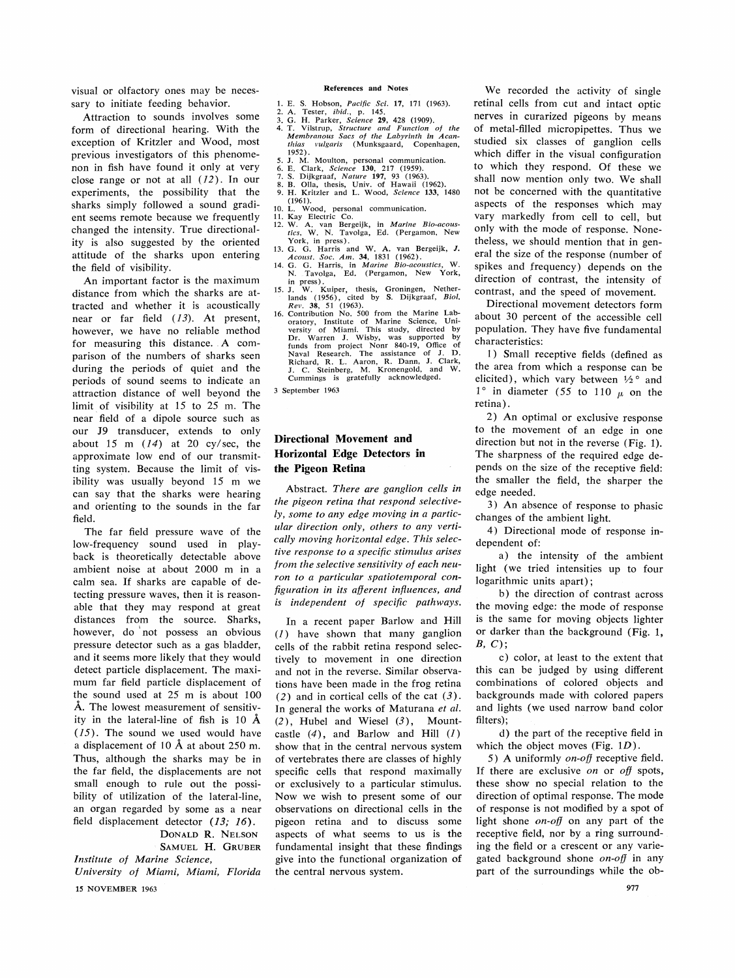**visual or olfactory ones may be necessary to initiate feeding behavior.** 

**Attraction to sounds involves some form of directional hearing. With the exception of Kritzler and Wood, most previous investigators of this phenomenon in fish have found it only at very close range or not at all (12). In our experiments, the possibility that the sharks simply followed a sound gradient seems remote because we frequently changed the intensity. True directionality is also suggested by the oriented attitude of the sharks upon entering the field of visibility.** 

**An important factor is the maximum distance from which the sharks are attracted and whether it is acoustically near or far field (13). At present, however, we have no reliable method for measuring this distance. A comparison of the numbers of sharks seen during the periods of quiet and the periods of sound seems to indicate an attraction distance of well beyond the limit of visibility at 15 to 25 m. The near field of a dipole source such as our J9 transducer, extends to only about 15 m (14) at 20 cy/sec, the approximate low end of our transmitting system. Because the limit of visibility was usually beyond 15 m we can say that the sharks were hearing and orienting to the sounds in the far field.** 

**The far field pressure wave of the low-frequency sound used in playback is theoretically detectable above ambient noise at about 2000 m in a calm sea. If sharks are capable of detecting pressure waves, then it is reasonable that they may respond at great distances from the source. Sharks,**  however, do not possess an obvious **pressure detector such as a gas bladder, and it seems more likely that they would detect particle displacement. The maximum far field particle displacement of the sound used at 25 m is about 100 A. The lowest measurement of sensitivity in the lateral-line of fish is 10 A (15). The sound we used would have a displacement of 10 A at about 250 m. Thus, although the sharks may be in the far field, the displacements are not small enough to rule out the possibility of utilization of the lateral-line, an organ regarded by some as a near field displacement detector (13; 16). DONALD R. NELSON** 

# **SAMUEL H. GRUBER**

**Institute of Marine Science, University of Miami, Miami, Florida 15 NOVEMBER 1963** 

#### **References and Notes**

- **1. E. S. Hobson, Pacific Sci. 17, 171 (1963).**
- 
- 
- 2. A. Tester, *ibid.*, p. 145.<br>3. G. H. Parker, *Science* **29,** 428 (1909).<br>4. T. Vilstrup, *Structure and Function of the Membranous Sacs of the Labyrinth in Acan-<br>thias vulgaris (Munksgaard, Copenhagen,* **1952). 5. J. M. Moulton, personal communication.**
- 
- 
- 
- **6. E. Clark, Science 130, 217 (1959). 7. S. Dijkgraaf, Nature 197, 93 (1963). 8. B. Olla, thesis, Univ. of Hawaii (1962). 9. H. Kritzler and L. Wood, Science 133, 1480 (1961).**
- **10. L. Wood, personal communication.**
- **11. Kay Electric Co. 12. W. A. van Bergeijk, in Marine Bio-acous-tics, W. N. Tavolga, Ed. (Pergamon, New York, in press).**
- **13. G. G. Harris and W. A. van Bergeijk, J.**
- **Acoutst. Soc. Am. 34, 1831 (1962). 14. G. G. Harris, in Marine Bio-acoustics, W. N. Tavolga, Ed. (Pergamon, New York,**
- 
- in press).<br>
15. J. W. Kuiper, thesis, Groningen, Nether-<br>
lands (1956), cited by S. Dijkgraaf, *Biol,*<br> *Rev.* **38**, 51 (1963).<br>
16. Contribution No. 500 from the Marine Laboratory, Institute of Marine Science, University **funds from project Nonr 840-19, Office of Naval Research. The assistance of J. D. Richard, R. L. Aaron, R. Dann, J. Clark, J. C. Steinberg, M. Kronengold, and W. Cummings is gratefully acknowledged.**

**3 September 1963** 

### **Directional Movement and Horizontal Edge Detectors in the Pigeon Retina**

**Abstract. There are ganglion cells in the pigeon retina that respond selectively, some to any edge moving in a particular direction only, others to any vertically moving horizontal edge. This selective response to a specific stimulus arises from the selective sensitivity of each neuron to a particular spatiotemporal configuration in its afferent influences, and is independent of specific pathways.** 

**In a recent paper Barlow and Hill (1) have shown that many ganglion cells of the rabbit retina respond selectively to movement in one direction and not in the reverse. Similar observations have been made in the frog retina (2) and in cortical cells of the cat (3). In general the works of Maturana et al. (2), Hubel and Wiesel (3), Mountcastle (4), and Barlow and Hill (1) show that in the central nervous system of vertebrates there are classes of highly specific cells that respond maximally or exclusively to a particular stimulus. Now we wish to present some of our observations on directional cells in the pigeon retina and to discuss some aspects of what seems to us is the fundamental insight that these findings give into the functional organization of the central nervous system.** 

**We recorded the activity of single retinal cells from cut and intact optic nerves in curarized pigeons by means of metal-filled micropipettes. Thus we studied six classes of ganglion cells which differ in the visual configuration to which they respond. Of these we shall now mention only two. We shall not be concerned with the quantitative aspects of the responses which may vary markedly from cell to cell, but only with the mode of response. Nonetheless, we should mention that in general the size of the response (number of spikes and frequency) depends on the direction of contrast, the intensity of contrast, and the speed of movement.** 

**Directional movement detectors form about 30 percent of the accessible cell population. They have five fundamental characteristics:** 

**1) Small receptive fields (defined as the area from which a response can be**  elicited), which vary between  $\frac{1}{2}$  and 1° in diameter (55 to 110  $\mu$  on the **retina).** 

**2) An optimal or exclusive response to the movement of an edge in one direction but not in the reverse (Fig. 1). The sharpness of the required edge depends on the size of the receptive field: the smaller the field, the sharper the edge needed.** 

**3) An absence of response to phasic changes of the ambient light.** 

**4) Directional mode of response independent of:** 

**a) the intensity of the ambient light (we tried intensities up to four logarithmic units apart);** 

**b) the direction of contrast across the moving edge: the mode of response is the same for moving objects lighter or darker than the background (Fig. 1, B, C);** 

**c) color, at least to the extent that this can be judged by using different combinations of colored objects and backgrounds made with colored papers and lights (we used narrow band color filters);** 

**d) the part of the receptive field in which the object moves (Fig. 1D).** 

**5) A uniformly on-off receptive field. If there are exclusive on or off spots, these show no special relation to the direction of optimal response. The mode of response is not modified by a spot of light shone on-off on any part of the receptive field, nor by a ring surrounding the field or a crescent or any variegated background shone on-off in any part of the surroundings while the ob-**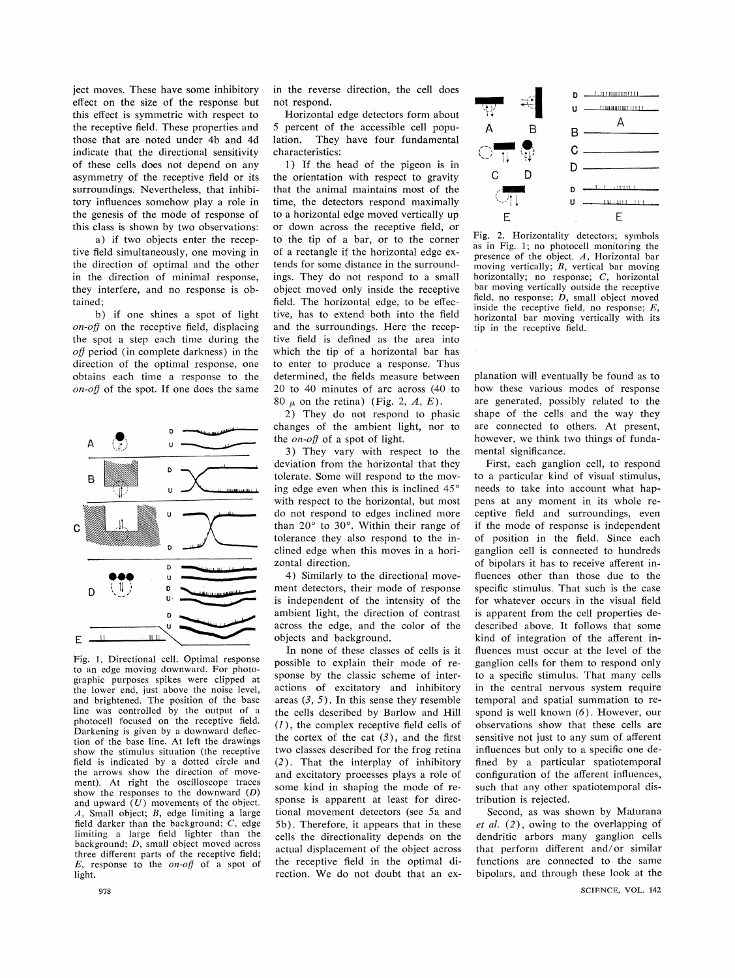**ject moves. These have some inhibitory effect on the size of the response but this effect is symmetric with respect to the receptive field. These properties and those that are noted under 4b and 4d indicate that the directional sensitivity of these cells does not depend on any asymmetry of the receptive field or its surroundings. Nevertheless, that inhibitory influences somehow play a role in the genesis of the mode of response of this class is shown by two observations:** 

**a) if two objects enter the receptive field simultaneously, one moving in the direction of optimal and the other in the direction of minimal response, they interfere, and no response is obtained;** 

**b) if one shines a spot of light on-ofj on the receptive field, displacing the spot a step each time during the off period (in complete darkness) in the direction of the optimal response, one obtains each time a response to the on-off of the spot. If one does the same** 



**Fig. 1. Directional cell. Optimal response to an edge moving downward. For photographic purposes spikes were clipped at the lower end, just above the noise level, and brightened. The position of the base line was controlled by the output of a photocell focused on the receptive field. Darkening is given by a downward deflection of the base line. At left the drawings show the stimulus situation (the receptive field is indicated by a dotted circle and the arrows show the direction of movement). At right the oscilloscope traces show the responses to the downward (D) and upward (U) movements of the object. A, Small object; B, edge limiting a large field darker than the background; C, edge limiting a large field lighter than the background; D, small object moved across three different parts of the receptive field; E, response to the on-off of a spot of light.** 

**in the reverse direction, the cell does not respond.** 

**Horizontal edge detectors form about 5 percent of the accessible cell popu-**They have four fundamental **characteristics:** 

**1) If the head of the pigeon is in the orientation with respect to gravity that the animal maintains most of the time, the detectors respond maximally to a horizontal edge moved vertically up or down across the receptive field, or to the tip of a bar, or to the corner of a rectangle if the horizontal edge extends for some distance in the surroundings. They do not respond to a small object moved only inside the receptive field. The horizontal edge, to be effective, has to extend both into the field and the surroundings. Here the receptive field is defined as the area into which the tip of a horizontal bar has to enter to produce a response. Thus determined, the fields measure between 20 to 40 minutes of arc across (40 to**  80  $\mu$  on the retina) (Fig. 2, A, E).

**2) They do not respond to phasic changes of the ambient light, nor to the on-off of a spot of light.** 

**3) They vary with respect to the deviation from the horizontal that they tolerate. Some will respond to the moving edge even when this is inclined 45? with respect to the horizontal, but most do not respond to edges inclined more than 20? to 30?. Within their range of tolerance they also respond to the inclined edge when this moves in a horizontal direction.** 

**4) Similarly to the directional movement detectors, their mode of response is independent of the intensity of the ambient light, the direction of contrast across the edge, and the color of the objects and background.** 

**In none of these classes of cells is it possible to explain their mode of response by the classic scheme of interactions of excitatory and inhibitory areas (3, 5). In this sense they resemble the cells described by Barlow and Hill (1), the complex receptive field cells of**  the cortex of the cat  $(3)$ , and the first **two classes described for the frog retina (2). That the interplay of inhibitory and excitatory processes plays a role of some kind in shaping the mode of response is apparent at least for directional movement detectors (see 5a and 5b). Therefore, it appears that in these cells the directionality depends on the actual displacement of the object across the receptive field in the optimal direction. We do not doubt that an ex-**



**Fig. 2. Horizontality detectors; symbols as in Fig. 1; no photocell monitoring the presence of the object. A, Horizontal bar moving vertically; B, vertical bar moving horizontally; no response; C, horizontal bar moving vertically outside the receptive**  field, no response; D, small object moved **inside the receptive field, no response; E, horizontal bar moving vertically with its tip in the receptive field.** 

**planation will eventually be found as to how these various modes of response are generated, possibly related to the shape of the cells and the way they are connected to others. At present, however, we think two things of fundamental significance.** 

**First, each ganglion cell, to respond to a particular kind of visual stimulus, needs to take into -account what happens at any moment in its whole receptive field and surroundings, even if the mode of response is independent of position in the field. Since each ganglion cell is connected to hundreds of bipolars it has to receive afferent influences other than those due to the specific stimulus. That such is the case for whatever occurs in the visual field is apparent from the cell properties dedescribed above. It follows that some kind of integration of the afferent influences must occur at the level of the ganglion cells for them to respond only to a specific stimulus. That many cells in the central nervous system require temporal and spatial summation to respond is well known (6). However, our observations show that these cells are sensitive not just to any sum of afferent influences but only to a specific one defined by a particular spatiotemporal configuration of the afferent influences, such that any other spatiotemporal distribution is rejected.** 

**Second, as was shown by Maturana et al. (2), owing to the overlapping of dendritic arbors many ganglion cells that perform different and/or similar functions are connected to the same bipolars, and through these look at the**